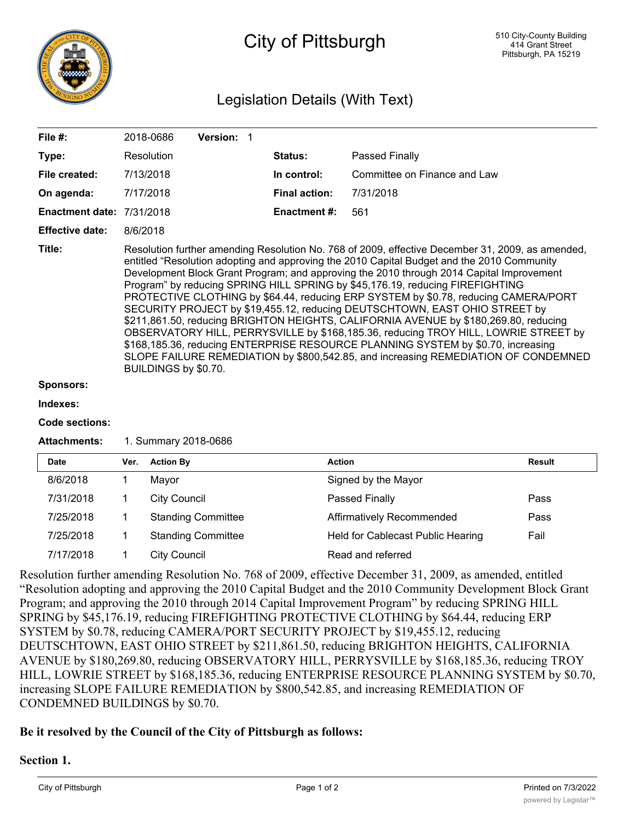

# City of Pittsburgh

# Legislation Details (With Text)

| File $#$ :                       | 2018-0686                                                                                                                                                                                                                                                                                                                                                                                                                                                                                                                                                                                                                                                                                                                                                                                                                                                                                                                         | <b>Version: 1</b> |                      |                              |  |  |  |
|----------------------------------|-----------------------------------------------------------------------------------------------------------------------------------------------------------------------------------------------------------------------------------------------------------------------------------------------------------------------------------------------------------------------------------------------------------------------------------------------------------------------------------------------------------------------------------------------------------------------------------------------------------------------------------------------------------------------------------------------------------------------------------------------------------------------------------------------------------------------------------------------------------------------------------------------------------------------------------|-------------------|----------------------|------------------------------|--|--|--|
| Type:                            | Resolution                                                                                                                                                                                                                                                                                                                                                                                                                                                                                                                                                                                                                                                                                                                                                                                                                                                                                                                        |                   | <b>Status:</b>       | Passed Finally               |  |  |  |
| File created:                    | 7/13/2018                                                                                                                                                                                                                                                                                                                                                                                                                                                                                                                                                                                                                                                                                                                                                                                                                                                                                                                         |                   | In control:          | Committee on Finance and Law |  |  |  |
| On agenda:                       | 7/17/2018                                                                                                                                                                                                                                                                                                                                                                                                                                                                                                                                                                                                                                                                                                                                                                                                                                                                                                                         |                   | <b>Final action:</b> | 7/31/2018                    |  |  |  |
| <b>Enactment date: 7/31/2018</b> |                                                                                                                                                                                                                                                                                                                                                                                                                                                                                                                                                                                                                                                                                                                                                                                                                                                                                                                                   |                   | <b>Enactment #:</b>  | 561                          |  |  |  |
| <b>Effective date:</b>           | 8/6/2018                                                                                                                                                                                                                                                                                                                                                                                                                                                                                                                                                                                                                                                                                                                                                                                                                                                                                                                          |                   |                      |                              |  |  |  |
| Title:                           | Resolution further amending Resolution No. 768 of 2009, effective December 31, 2009, as amended,<br>entitled "Resolution adopting and approving the 2010 Capital Budget and the 2010 Community<br>Development Block Grant Program; and approving the 2010 through 2014 Capital Improvement<br>Program" by reducing SPRING HILL SPRING by \$45,176.19, reducing FIREFIGHTING<br>PROTECTIVE CLOTHING by \$64.44, reducing ERP SYSTEM by \$0.78, reducing CAMERA/PORT<br>SECURITY PROJECT by \$19,455.12, reducing DEUTSCHTOWN, EAST OHIO STREET by<br>\$211,861.50, reducing BRIGHTON HEIGHTS, CALIFORNIA AVENUE by \$180,269.80, reducing<br>OBSERVATORY HILL, PERRYSVILLE by \$168,185.36, reducing TROY HILL, LOWRIE STREET by<br>\$168,185.36, reducing ENTERPRISE RESOURCE PLANNING SYSTEM by \$0.70, increasing<br>SLOPE FAILURE REMEDIATION by \$800,542.85, and increasing REMEDIATION OF CONDEMNED<br>BUILDINGS by \$0.70. |                   |                      |                              |  |  |  |

#### **Sponsors:**

#### **Indexes:**

#### **Code sections:**

#### **Attachments:** 1. Summary 2018-0686

| <b>Date</b> | Ver. | <b>Action By</b>          | <b>Action</b>                     | Result |
|-------------|------|---------------------------|-----------------------------------|--------|
| 8/6/2018    |      | Mayor                     | Signed by the Mayor               |        |
| 7/31/2018   |      | <b>City Council</b>       | Passed Finally                    | Pass   |
| 7/25/2018   |      | <b>Standing Committee</b> | Affirmatively Recommended         | Pass   |
| 7/25/2018   |      | <b>Standing Committee</b> | Held for Cablecast Public Hearing | Fail   |
| 7/17/2018   |      | <b>City Council</b>       | Read and referred                 |        |

Resolution further amending Resolution No. 768 of 2009, effective December 31, 2009, as amended, entitled "Resolution adopting and approving the 2010 Capital Budget and the 2010 Community Development Block Grant Program; and approving the 2010 through 2014 Capital Improvement Program" by reducing SPRING HILL SPRING by \$45,176.19, reducing FIREFIGHTING PROTECTIVE CLOTHING by \$64.44, reducing ERP SYSTEM by \$0.78, reducing CAMERA/PORT SECURITY PROJECT by \$19,455.12, reducing DEUTSCHTOWN, EAST OHIO STREET by \$211,861.50, reducing BRIGHTON HEIGHTS, CALIFORNIA AVENUE by \$180,269.80, reducing OBSERVATORY HILL, PERRYSVILLE by \$168,185.36, reducing TROY HILL, LOWRIE STREET by \$168,185.36, reducing ENTERPRISE RESOURCE PLANNING SYSTEM by \$0.70, increasing SLOPE FAILURE REMEDIATION by \$800,542.85, and increasing REMEDIATION OF CONDEMNED BUILDINGS by \$0.70.

## **Be it resolved by the Council of the City of Pittsburgh as follows:**

### **Section 1.**